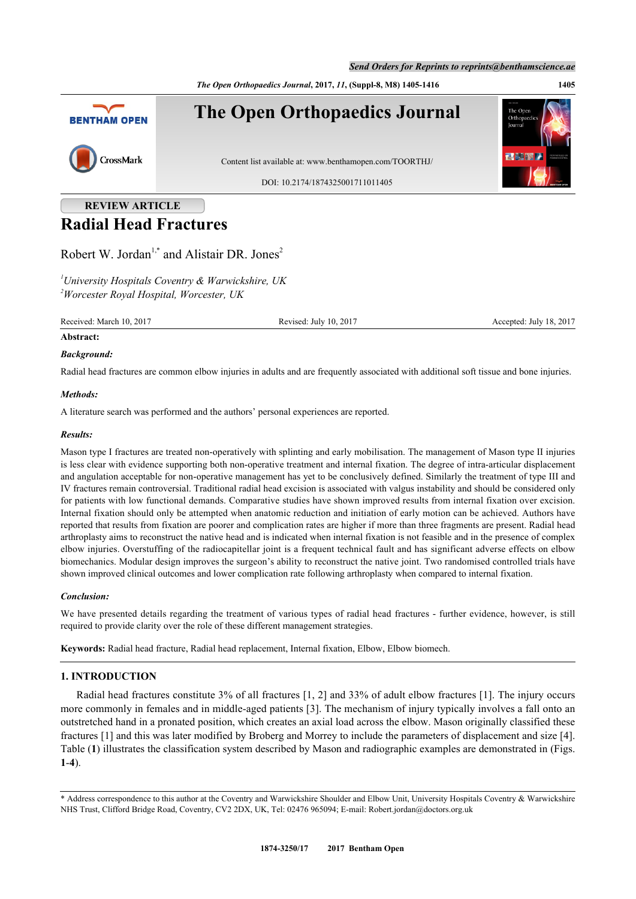*The Open Orthopaedics Journal***, 2017,** *11***, (Suppl-8, M8) 1405-1416 1405**



# **REVIEW ARTICLE Radial Head Fractures**

Robert W. Jordan<sup>[1,](#page-0-0)[\\*](#page-0-1)</sup> and Alistair DR. Jones<sup>[2](#page-0-2)</sup>

<span id="page-0-2"></span><span id="page-0-0"></span>*<sup>1</sup>University Hospitals Coventry & Warwickshire, UK <sup>2</sup>Worcester Royal Hospital, Worcester, UK*

Received: March 10, 2017 Revised: July 10, 2017 Accepted: July 18, 2017

## **Abstract:**

## *Background:*

Radial head fractures are common elbow injuries in adults and are frequently associated with additional soft tissue and bone injuries.

### *Methods:*

A literature search was performed and the authors' personal experiences are reported.

### *Results:*

Mason type I fractures are treated non-operatively with splinting and early mobilisation. The management of Mason type II injuries is less clear with evidence supporting both non-operative treatment and internal fixation. The degree of intra-articular displacement and angulation acceptable for non-operative management has yet to be conclusively defined. Similarly the treatment of type III and IV fractures remain controversial. Traditional radial head excision is associated with valgus instability and should be considered only for patients with low functional demands. Comparative studies have shown improved results from internal fixation over excision. Internal fixation should only be attempted when anatomic reduction and initiation of early motion can be achieved. Authors have reported that results from fixation are poorer and complication rates are higher if more than three fragments are present. Radial head arthroplasty aims to reconstruct the native head and is indicated when internal fixation is not feasible and in the presence of complex elbow injuries. Overstuffing of the radiocapitellar joint is a frequent technical fault and has significant adverse effects on elbow biomechanics. Modular design improves the surgeon's ability to reconstruct the native joint. Two randomised controlled trials have shown improved clinical outcomes and lower complication rate following arthroplasty when compared to internal fixation.

### *Conclusion:*

We have presented details regarding the treatment of various types of radial head fractures - further evidence, however, is still required to provide clarity over the role of these different management strategies.

**Keywords:** Radial head fracture, Radial head replacement, Internal fixation, Elbow, Elbow biomech.

## **1. INTRODUCTION**

Radial head fractures constitute 3% of all fractures [\[1](#page-7-0), [2\]](#page-7-1) and 33% of adult elbow fractures [\[1](#page-7-0)]. The injury occurs more commonly in females and in middle-aged patients [\[3](#page-7-2)]. The mechanism of injury typically involves a fall onto an outstretched hand in a pronated position, which creates an axial load across the elbow. Mason originally classified these fractures [[1\]](#page-7-0) and this was later modified by Broberg and Morrey to include the parameters of displacement and size [[4\]](#page-7-3). Table (**[1](#page-0-3)**) illustrates the classification system described by Mason and radiographic examples are demonstrated in (Figs. **[1](#page-1-0)**-**[4](#page-3-0)**).

<span id="page-0-3"></span><span id="page-0-1"></span><sup>\*</sup> Address correspondence to this author at the Coventry and Warwickshire Shoulder and Elbow Unit, University Hospitals Coventry & Warwickshire NHS Trust, Clifford Bridge Road, Coventry, CV2 2DX, UK, Tel: 02476 965094; E-mail: [Robert.jordan@doctors.org.uk](mailto:Robert.jordan@doctors.org.uk)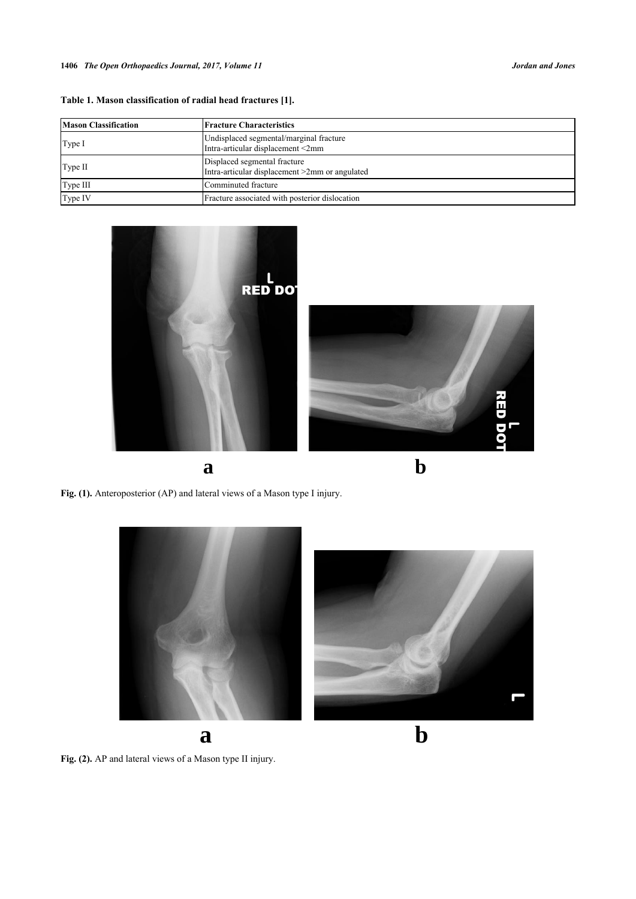|  |  | Table 1. Mason classification of radial head fractures [1]. |  |  |  |  |
|--|--|-------------------------------------------------------------|--|--|--|--|
|--|--|-------------------------------------------------------------|--|--|--|--|

| <b>Mason Classification</b> | <b>Fracture Characteristics</b>                                                |  |  |
|-----------------------------|--------------------------------------------------------------------------------|--|--|
| Type I                      | Undisplaced segmental/marginal fracture<br>Intra-articular displacement <2mm   |  |  |
| Type II                     | Displaced segmental fracture<br>Intra-articular displacement >2mm or angulated |  |  |
| Type III                    | Comminuted fracture                                                            |  |  |
| Type IV                     | Fracture associated with posterior dislocation                                 |  |  |

<span id="page-1-0"></span>







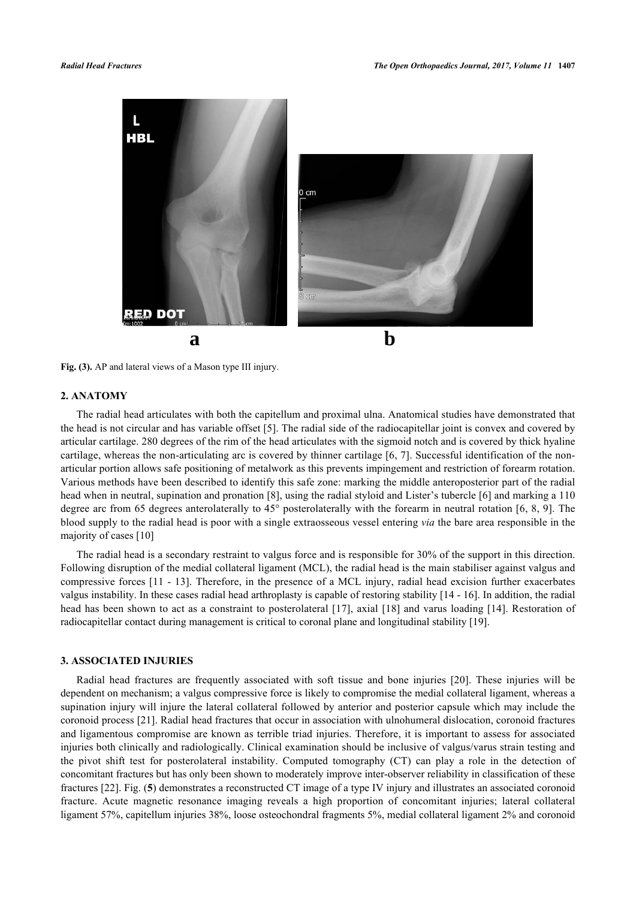

**Fig. (3).** AP and lateral views of a Mason type III injury.

## **2. ANATOMY**

The radial head articulates with both the capitellum and proximal ulna. Anatomical studies have demonstrated that the head is not circular and has variable offset [[5](#page-7-4)]. The radial side of the radiocapitellar joint is convex and covered by articular cartilage. 280 degrees of the rim of the head articulates with the sigmoid notch and is covered by thick hyaline cartilage, whereas the non-articulating arc is covered by thinner cartilage [\[6](#page-7-5), [7](#page-7-6)]. Successful identification of the nonarticular portion allows safe positioning of metalwork as this prevents impingement and restriction of forearm rotation. Various methods have been described to identify this safe zone: marking the middle anteroposterior part of the radial head when in neutral, supination and pronation [\[8](#page-8-0)], using the radial styloid and Lister's tubercle [[6\]](#page-7-5) and marking a 110 degree arc from 65 degrees anterolaterally to 45° posterolaterally with the forearm in neutral rotation [[6,](#page-7-5) [8,](#page-8-0) [9\]](#page-8-1). The blood supply to the radial head is poor with a single extraosseous vessel entering *via* the bare area responsible in the majority of cases [[10\]](#page-8-2)

The radial head is a secondary restraint to valgus force and is responsible for 30% of the support in this direction. Following disruption of the medial collateral ligament (MCL), the radial head is the main stabiliser against valgus and compressive forces [\[11](#page-8-3) - [13\]](#page-8-4). Therefore, in the presence of a MCL injury, radial head excision further exacerbates valgus instability. In these cases radial head arthroplasty is capable of restoring stability [\[14](#page-8-5) - [16\]](#page-8-6). In addition, the radial head has been shown to act as a constraint to posterolateral [[17\]](#page-8-7), axial [\[18](#page-8-8)] and varus loading [[14\]](#page-8-5). Restoration of radiocapitellar contact during management is critical to coronal plane and longitudinal stability [[19\]](#page-8-9).

## **3. ASSOCIATED INJURIES**

Radial head fractures are frequently associated with soft tissue and bone injuries [\[20](#page-8-10)]. These injuries will be dependent on mechanism; a valgus compressive force is likely to compromise the medial collateral ligament, whereas a supination injury will injure the lateral collateral followed by anterior and posterior capsule which may include the coronoid process [[21\]](#page-8-11). Radial head fractures that occur in association with ulnohumeral dislocation, coronoid fractures and ligamentous compromise are known as terrible triad injuries. Therefore, it is important to assess for associated injuries both clinically and radiologically. Clinical examination should be inclusive of valgus/varus strain testing and the pivot shift test for posterolateral instability. Computed tomography (CT) can play a role in the detection of concomitant fractures but has only been shown to moderately improve inter-observer reliability in classification of these fractures [[22\]](#page-8-12). Fig. (**[5](#page-3-1)**) demonstrates a reconstructed CT image of a type IV injury and illustrates an associated coronoid fracture. Acute magnetic resonance imaging reveals a high proportion of concomitant injuries; lateral collateral ligament 57%, capitellum injuries 38%, loose osteochondral fragments 5%, medial collateral ligament 2% and coronoid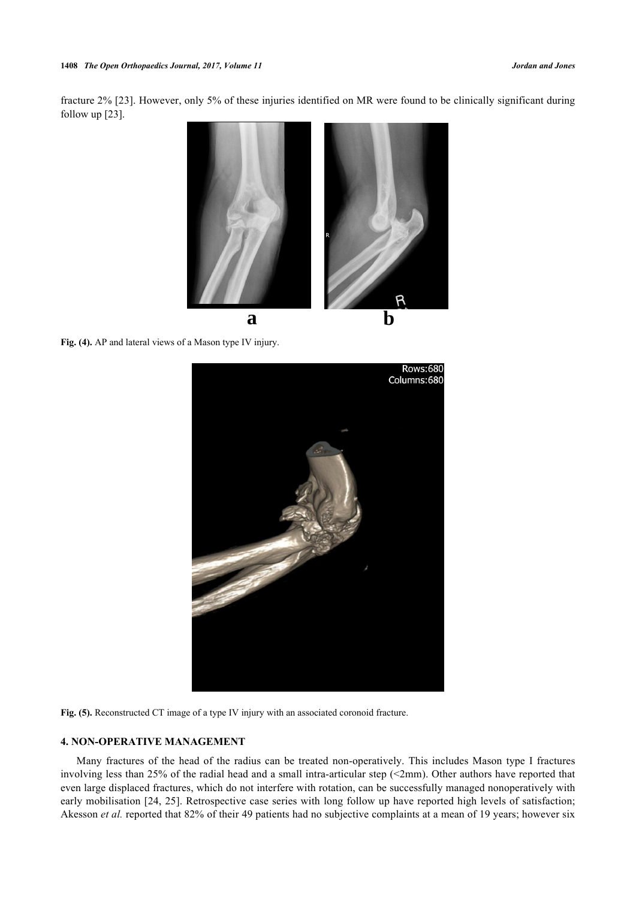<span id="page-3-0"></span>fracture 2% [[23](#page-8-13)]. However, only 5% of these injuries identified on MR were found to be clinically significant during follow up [\[23](#page-8-13)].



<span id="page-3-1"></span>**Fig. (4).** AP and lateral views of a Mason type IV injury.



**Fig. (5).** Reconstructed CT image of a type IV injury with an associated coronoid fracture.

## **4. NON-OPERATIVE MANAGEMENT**

Many fractures of the head of the radius can be treated non-operatively. This includes Mason type I fractures involving less than 25% of the radial head and a small intra-articular step (<2mm). Other authors have reported that even large displaced fractures, which do not interfere with rotation, can be successfully managed nonoperatively with early mobilisation [[24,](#page-8-14) [25\]](#page-8-15). Retrospective case series with long follow up have reported high levels of satisfaction; Akesson *et al.* reported that 82% of their 49 patients had no subjective complaints at a mean of 19 years; however six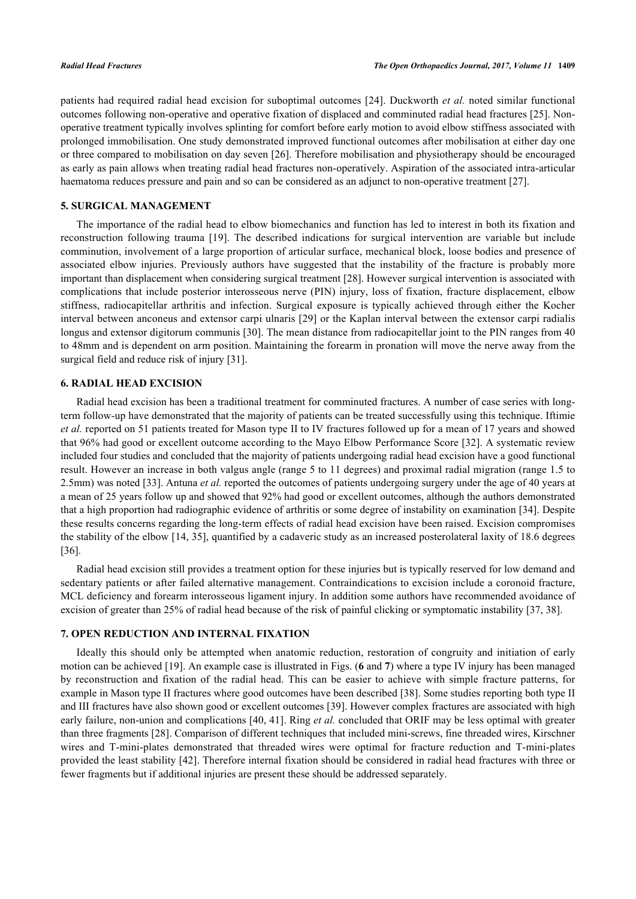patients had required radial head excision for suboptimal outcomes [\[24](#page-8-14)]. Duckworth *et al.* noted similar functional outcomes following non-operative and operative fixation of displaced and comminuted radial head fractures [\[25](#page-8-15)]. Nonoperative treatment typically involves splinting for comfort before early motion to avoid elbow stiffness associated with prolonged immobilisation. One study demonstrated improved functional outcomes after mobilisation at either day one or three compared to mobilisation on day seven [\[26](#page-8-16)]. Therefore mobilisation and physiotherapy should be encouraged as early as pain allows when treating radial head fractures non-operatively. Aspiration of the associated intra-articular haematoma reduces pressure and pain and so can be considered as an adjunct to non-operative treatment [[27\]](#page-8-17).

## **5. SURGICAL MANAGEMENT**

The importance of the radial head to elbow biomechanics and function has led to interest in both its fixation and reconstruction following trauma[[19](#page-8-9)]. The described indications for surgical intervention are variable but include comminution, involvement of a large proportion of articular surface, mechanical block, loose bodies and presence of associated elbow injuries. Previously authors have suggested that the instability of the fracture is probably more important than displacement when considering surgical treatment [[28\]](#page-9-0). However surgical intervention is associated with complications that include posterior interosseous nerve (PIN) injury, loss of fixation, fracture displacement, elbow stiffness, radiocapitellar arthritis and infection. Surgical exposure is typically achieved through either the Kocher interval between anconeus and extensor carpi ulnaris [\[29](#page-9-1)] or the Kaplan interval between the extensor carpi radialis longus and extensor digitorum communis [[30](#page-9-2)]. The mean distance from radiocapitellar joint to the PIN ranges from 40 to 48mm and is dependent on arm position. Maintaining the forearm in pronation will move the nerve away from the surgical field and reduce risk of injury [[31\]](#page-9-3).

#### **6. RADIAL HEAD EXCISION**

Radial head excision has been a traditional treatment for comminuted fractures. A number of case series with longterm follow-up have demonstrated that the majority of patients can be treated successfully using this technique. Iftimie *et al.* reported on 51 patients treated for Mason type II to IV fractures followed up for a mean of 17 years and showed that 96% had good or excellent outcome according to the Mayo Elbow Performance Score [[32\]](#page-9-4). A systematic review included four studies and concluded that the majority of patients undergoing radial head excision have a good functional result. However an increase in both valgus angle (range 5 to 11 degrees) and proximal radial migration (range 1.5 to 2.5mm) was noted [\[33](#page-9-5)]. Antuna *et al.* reported the outcomes of patients undergoing surgery under the age of 40 years at a mean of 25 years follow up and showed that 92% had good or excellent outcomes, although the authors demonstrated that a high proportion had radiographic evidence of arthritis or some degree of instability on examination [\[34](#page-9-6)]. Despite these results concerns regarding the long-term effects of radial head excision have been raised. Excision compromises the stability of the elbow [\[14](#page-8-5), [35\]](#page-9-7), quantified by a cadaveric study as an increased posterolateral laxity of 18.6 degrees [\[36](#page-9-8)].

Radial head excision still provides a treatment option for these injuries but is typically reserved for low demand and sedentary patients or after failed alternative management. Contraindications to excision include a coronoid fracture, MCL deficiency and forearm interosseous ligament injury. In addition some authors have recommended avoidance of excision of greater than 25% of radial head because of the risk of painful clicking or symptomatic instability [\[37](#page-9-9), [38](#page-9-10)].

## **7. OPEN REDUCTION AND INTERNAL FIXATION**

<span id="page-4-0"></span>Ideally this should only be attempted when anatomic reduction, restoration of congruity and initiation of early motion can be achieved [[19\]](#page-8-9). An example case is illustrated in Figs. (**[6](#page-4-0)** and **[7](#page-5-0)**) where a type IV injury has been managed by reconstruction and fixation of the radial head. This can be easier to achieve with simple fracture patterns, for example in Mason type II fractures where good outcomes have been described [\[38](#page-9-10)]. Some studies reporting both type II and III fractures have also shown good or excellent outcomes [\[39](#page-9-11)]. However complex fractures are associated with high early failure, non-union and complications [[40,](#page-9-12) [41](#page-9-13)]. Ring *et al.* concluded that ORIF may be less optimal with greater than three fragments [\[28](#page-9-0)]. Comparison of different techniques that included mini-screws, fine threaded wires, Kirschner wires and T-mini-plates demonstrated that threaded wires were optimal for fracture reduction and T-mini-plates provided the least stability [[42](#page-9-14)]. Therefore internal fixation should be considered in radial head fractures with three or fewer fragments but if additional injuries are present these should be addressed separately.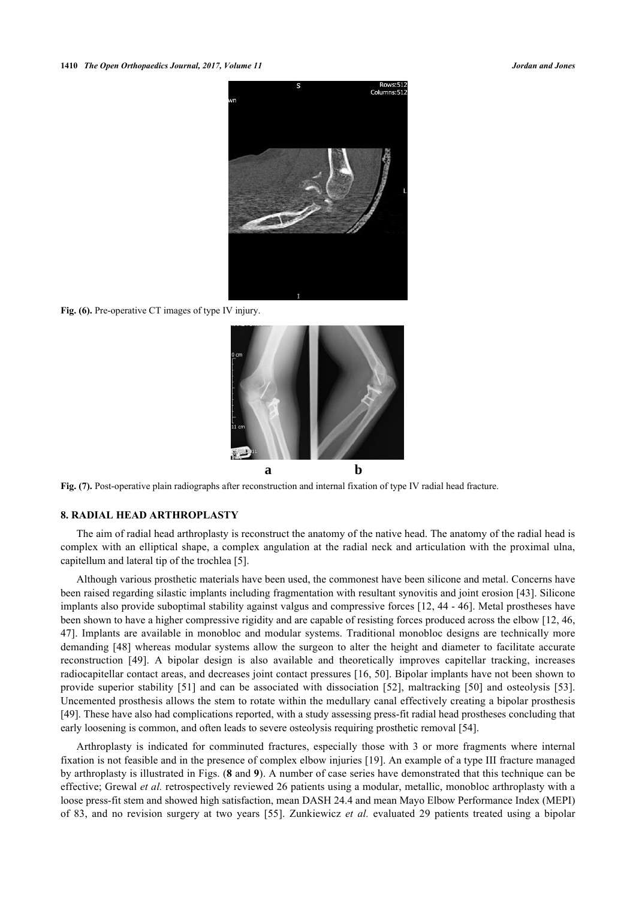

Fig. (6). Pre-operative CT images of type IV injury.

<span id="page-5-0"></span>

**Fig. (7).** Post-operative plain radiographs after reconstruction and internal fixation of type IV radial head fracture.

#### **8. RADIAL HEAD ARTHROPLASTY**

The aim of radial head arthroplasty is reconstruct the anatomy of the native head. The anatomy of the radial head is complex with an elliptical shape, a complex angulation at the radial neck and articulation with the proximal ulna, capitellum and lateral tip of the trochlea [\[5](#page-7-4)].

Although various prosthetic materials have been used, the commonest have been silicone and metal. Concerns have been raised regarding silastic implants including fragmentation with resultant synovitis and joint erosion [[43\]](#page-9-15). Silicone implants also provide suboptimal stability against valgus and compressive forces [\[12](#page-8-18), [44](#page-9-16) - [46](#page-9-17)]. Metal prostheses have been shown to have a higher compressive rigidity and are capable of resisting forces produced across the elbow [[12,](#page-8-18) [46](#page-9-17), [47\]](#page-9-18). Implants are available in monobloc and modular systems. Traditional monobloc designs are technically more demanding [\[48](#page-9-19)] whereas modular systems allow the surgeon to alter the height and diameter to facilitate accurate reconstruction[[49\]](#page-9-20). A bipolar design is also available and theoretically improves capitellar tracking, increases radiocapitellar contact areas, and decreases joint contact pressures [[16](#page-8-6), [50\]](#page-10-0). Bipolar implants have not been shown to provide superior stability[[51](#page-10-1)] and can be associated with dissociation[[52](#page-10-2)], maltracking [\[50\]](#page-10-0) and osteolysis [\[53\]](#page-10-3). Uncemented prosthesis allows the stem to rotate within the medullary canal effectively creating a bipolar prosthesis [\[49](#page-9-20)]. These have also had complications reported, with a study assessing press-fit radial head prostheses concluding that early loosening is common, and often leads to severe osteolysis requiring prosthetic removal [[54\]](#page-10-4).

Arthroplasty is indicated for comminuted fractures, especially those with 3 or more fragments where internal fixation is not feasible and in the presence of complex elbow injuries [\[19](#page-8-9)]. An example of a type III fracture managed by arthroplasty is illustrated in Figs. (**[8](#page-6-0)** and **[9](#page-6-1)**). A number of case series have demonstrated that this technique can be effective; Grewal *et al.* retrospectively reviewed 26 patients using a modular, metallic, monobloc arthroplasty with a loose press-fit stem and showed high satisfaction, mean DASH 24.4 and mean Mayo Elbow Performance Index (MEPI) of 83, and no revision surgery at two years[[55](#page-10-5)]. Zunkiewicz *et al.* evaluated 29 patients treated using a bipolar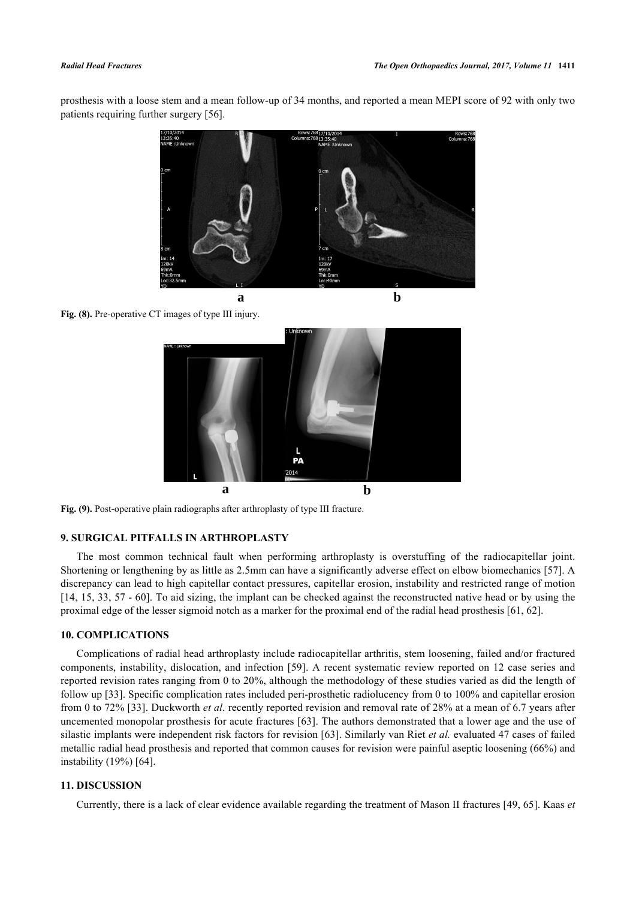prosthesis with a loose stem and a mean follow-up of 34 months, and reported a mean MEPI score of 92 with only two patients requiring further surgery [[56\]](#page-10-6).

<span id="page-6-0"></span>

Fig. (8). Pre-operative CT images of type III injury.

<span id="page-6-1"></span>

**Fig. (9).** Post-operative plain radiographs after arthroplasty of type III fracture.

## **9. SURGICAL PITFALLS IN ARTHROPLASTY**

The most common technical fault when performing arthroplasty is overstuffing of the radiocapitellar joint. Shortening or lengthening by as little as 2.5mm can have a significantly adverse effect on elbow biomechanics [[57\]](#page-10-7). A discrepancy can lead to high capitellar contact pressures, capitellar erosion, instability and restricted range of motion [\[14](#page-8-5), [15](#page-8-19), [33,](#page-9-5) [57](#page-10-7) - [60\]](#page-10-8). To aid sizing, the implant can be checked against the reconstructed native head or by using the proximal edge of the lesser sigmoid notch as a marker for the proximal end of the radial head prosthesis [\[61](#page-10-9), [62](#page-10-10)].

#### **10. COMPLICATIONS**

Complications of radial head arthroplasty include radiocapitellar arthritis, stem loosening, failed and/or fractured components, instability, dislocation, and infection [[59\]](#page-10-11). A recent systematic review reported on 12 case series and reported revision rates ranging from 0 to 20%, although the methodology of these studies varied as did the length of follow up [[33\]](#page-9-5). Specific complication rates included peri-prosthetic radiolucency from 0 to 100% and capitellar erosion from 0 to 72% [[33\]](#page-9-5). Duckworth *et al.* recently reported revision and removal rate of 28% at a mean of 6.7 years after uncemented monopolar prosthesis for acute fractures [[63](#page-10-12)]. The authors demonstrated that a lower age and the use of silastic implants were independent risk factors for revision [[63](#page-10-12)]. Similarly van Riet *et al.* evaluated 47 cases of failed metallic radial head prosthesis and reported that common causes for revision were painful aseptic loosening (66%) and instability (19%) [\[64](#page-10-13)].

## **11. DISCUSSION**

Currently, there is a lack of clear evidence available regarding the treatment of Mason II fractures [[49,](#page-9-20) [65\]](#page-10-14). Kaas *et*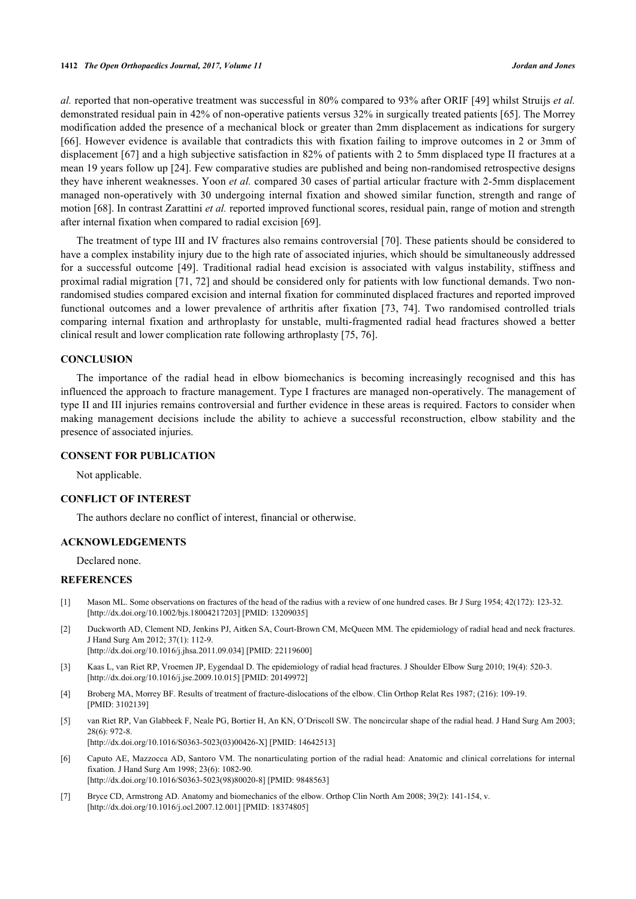*al.* reported that non-operative treatment was successful in 80% compared to 93% after ORIF [[49](#page-9-20)] whilst Struijs *et al.* demonstrated residual pain in 42% of non-operative patients versus 32% in surgically treated patients [[65\]](#page-10-14). The Morrey modification added the presence of a mechanical block or greater than 2mm displacement as indications for surgery [\[66](#page-10-15)]. However evidence is available that contradicts this with fixation failing to improve outcomes in 2 or 3mm of displacement [[67\]](#page-10-16) and a high subjective satisfaction in 82% of patients with 2 to 5mm displaced type II fractures at a mean 19 years follow up [\[24](#page-8-14)]. Few comparative studies are published and being non-randomised retrospective designs they have inherent weaknesses. Yoon *et al.* compared 30 cases of partial articular fracture with 2-5mm displacement managed non-operatively with 30 undergoing internal fixation and showed similar function, strength and range of motion [\[68](#page-10-17)]. In contrast Zarattini *et al.* reported improved functional scores, residual pain, range of motion and strength after internal fixation when compared to radial excision [[69\]](#page-10-18).

The treatment of type III and IV fractures also remains controversial [\[70\]](#page-11-0). These patients should be considered to have a complex instability injury due to the high rate of associated injuries, which should be simultaneously addressed for a successful outcome[[49\]](#page-9-20). Traditional radial head excision is associated with valgus instability, stiffness and proximal radial migration [\[71,](#page-11-1) [72](#page-11-2)] and should be considered only for patients with low functional demands. Two nonrandomised studies compared excision and internal fixation for comminuted displaced fractures and reported improved functional outcomes and a lower prevalence of arthritis after fixation [\[73,](#page-11-3) [74\]](#page-11-4). Two randomised controlled trials comparing internal fixation and arthroplasty for unstable, multi-fragmented radial head fractures showed a better clinical result and lower complication rate following arthroplasty [[75,](#page-11-5) [76\]](#page-11-6).

#### **CONCLUSION**

The importance of the radial head in elbow biomechanics is becoming increasingly recognised and this has influenced the approach to fracture management. Type I fractures are managed non-operatively. The management of type II and III injuries remains controversial and further evidence in these areas is required. Factors to consider when making management decisions include the ability to achieve a successful reconstruction, elbow stability and the presence of associated injuries.

### **CONSENT FOR PUBLICATION**

Not applicable.

## **CONFLICT OF INTEREST**

The authors declare no conflict of interest, financial or otherwise.

## **ACKNOWLEDGEMENTS**

Declared none.

## **REFERENCES**

- <span id="page-7-0"></span>[1] Mason ML. Some observations on fractures of the head of the radius with a review of one hundred cases. Br J Surg 1954; 42(172): 123-32. [\[http://dx.doi.org/10.1002/bjs.18004217203](http://dx.doi.org/10.1002/bjs.18004217203)] [PMID: [13209035\]](http://www.ncbi.nlm.nih.gov/pubmed/13209035)
- <span id="page-7-1"></span>[2] Duckworth AD, Clement ND, Jenkins PJ, Aitken SA, Court-Brown CM, McQueen MM. The epidemiology of radial head and neck fractures. J Hand Surg Am 2012; 37(1): 112-9. [\[http://dx.doi.org/10.1016/j.jhsa.2011.09.034\]](http://dx.doi.org/10.1016/j.jhsa.2011.09.034) [PMID: [22119600](http://www.ncbi.nlm.nih.gov/pubmed/22119600)]
- <span id="page-7-2"></span>[3] Kaas L, van Riet RP, Vroemen JP, Eygendaal D. The epidemiology of radial head fractures. J Shoulder Elbow Surg 2010; 19(4): 520-3. [\[http://dx.doi.org/10.1016/j.jse.2009.10.015\]](http://dx.doi.org/10.1016/j.jse.2009.10.015) [PMID: [20149972](http://www.ncbi.nlm.nih.gov/pubmed/20149972)]
- <span id="page-7-3"></span>[4] Broberg MA, Morrey BF. Results of treatment of fracture-dislocations of the elbow. Clin Orthop Relat Res 1987; (216): 109-19. [PMID: [3102139\]](http://www.ncbi.nlm.nih.gov/pubmed/3102139)
- <span id="page-7-4"></span>[5] van Riet RP, Van Glabbeek F, Neale PG, Bortier H, An KN, O'Driscoll SW. The noncircular shape of the radial head. J Hand Surg Am 2003; 28(6): 972-8. [\[http://dx.doi.org/10.1016/S0363-5023\(03\)00426-X\]](http://dx.doi.org/10.1016/S0363-5023(03)00426-X) [PMID: [14642513](http://www.ncbi.nlm.nih.gov/pubmed/14642513)]
- <span id="page-7-5"></span>[6] Caputo AE, Mazzocca AD, Santoro VM. The nonarticulating portion of the radial head: Anatomic and clinical correlations for internal fixation. J Hand Surg Am 1998; 23(6): 1082-90. [\[http://dx.doi.org/10.1016/S0363-5023\(98\)80020-8\]](http://dx.doi.org/10.1016/S0363-5023(98)80020-8) [PMID: [9848563](http://www.ncbi.nlm.nih.gov/pubmed/9848563)]
- <span id="page-7-6"></span>[7] Bryce CD, Armstrong AD. Anatomy and biomechanics of the elbow. Orthop Clin North Am 2008; 39(2): 141-154, v. [\[http://dx.doi.org/10.1016/j.ocl.2007.12.001\]](http://dx.doi.org/10.1016/j.ocl.2007.12.001) [PMID: [18374805](http://www.ncbi.nlm.nih.gov/pubmed/18374805)]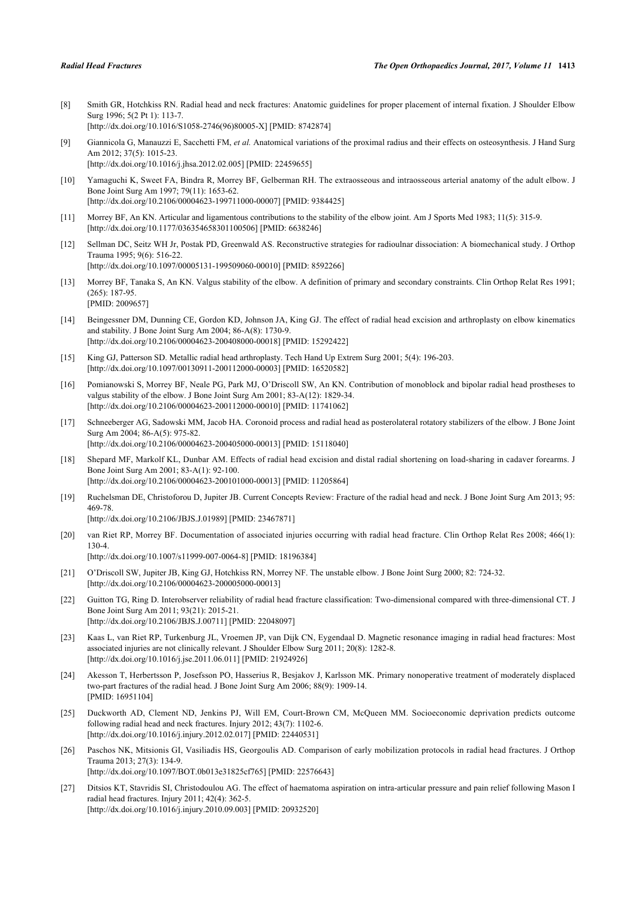[PMID: [2009657\]](http://www.ncbi.nlm.nih.gov/pubmed/2009657)

<span id="page-8-0"></span>[8] Smith GR, Hotchkiss RN. Radial head and neck fractures: Anatomic guidelines for proper placement of internal fixation. J Shoulder Elbow Surg 1996; 5(2 Pt 1): 113-7. [\[http://dx.doi.org/10.1016/S1058-2746\(96\)80005-X\]](http://dx.doi.org/10.1016/S1058-2746(96)80005-X) [PMID: [8742874](http://www.ncbi.nlm.nih.gov/pubmed/8742874)]

<span id="page-8-1"></span>[9] Giannicola G, Manauzzi E, Sacchetti FM, *et al.* Anatomical variations of the proximal radius and their effects on osteosynthesis. J Hand Surg Am 2012; 37(5): 1015-23. [\[http://dx.doi.org/10.1016/j.jhsa.2012.02.005\]](http://dx.doi.org/10.1016/j.jhsa.2012.02.005) [PMID: [22459655](http://www.ncbi.nlm.nih.gov/pubmed/22459655)]

- <span id="page-8-2"></span>[10] Yamaguchi K, Sweet FA, Bindra R, Morrey BF, Gelberman RH. The extraosseous and intraosseous arterial anatomy of the adult elbow. J Bone Joint Surg Am 1997; 79(11): 1653-62. [\[http://dx.doi.org/10.2106/00004623-199711000-00007](http://dx.doi.org/10.2106/00004623-199711000-00007)] [PMID: [9384425\]](http://www.ncbi.nlm.nih.gov/pubmed/9384425)
- <span id="page-8-3"></span>[11] Morrey BF, An KN. Articular and ligamentous contributions to the stability of the elbow joint. Am J Sports Med 1983; 11(5): 315-9. [\[http://dx.doi.org/10.1177/036354658301100506\]](http://dx.doi.org/10.1177/036354658301100506) [PMID: [6638246](http://www.ncbi.nlm.nih.gov/pubmed/6638246)]
- <span id="page-8-18"></span>[12] Sellman DC, Seitz WH Jr, Postak PD, Greenwald AS. Reconstructive strategies for radioulnar dissociation: A biomechanical study. J Orthop Trauma 1995; 9(6): 516-22. [\[http://dx.doi.org/10.1097/00005131-199509060-00010](http://dx.doi.org/10.1097/00005131-199509060-00010)] [PMID: [8592266\]](http://www.ncbi.nlm.nih.gov/pubmed/8592266)
- <span id="page-8-4"></span>[13] Morrey BF, Tanaka S, An KN. Valgus stability of the elbow. A definition of primary and secondary constraints. Clin Orthop Relat Res 1991; (265): 187-95.
- <span id="page-8-5"></span>[14] Beingessner DM, Dunning CE, Gordon KD, Johnson JA, King GJ. The effect of radial head excision and arthroplasty on elbow kinematics and stability. J Bone Joint Surg Am 2004; 86-A(8): 1730-9. [\[http://dx.doi.org/10.2106/00004623-200408000-00018](http://dx.doi.org/10.2106/00004623-200408000-00018)] [PMID: [15292422\]](http://www.ncbi.nlm.nih.gov/pubmed/15292422)
- <span id="page-8-19"></span>[15] King GJ, Patterson SD. Metallic radial head arthroplasty. Tech Hand Up Extrem Surg 2001; 5(4): 196-203. [\[http://dx.doi.org/10.1097/00130911-200112000-00003](http://dx.doi.org/10.1097/00130911-200112000-00003)] [PMID: [16520582\]](http://www.ncbi.nlm.nih.gov/pubmed/16520582)
- <span id="page-8-6"></span>[16] Pomianowski S, Morrey BF, Neale PG, Park MJ, O'Driscoll SW, An KN. Contribution of monoblock and bipolar radial head prostheses to valgus stability of the elbow. J Bone Joint Surg Am 2001; 83-A(12): 1829-34. [\[http://dx.doi.org/10.2106/00004623-200112000-00010](http://dx.doi.org/10.2106/00004623-200112000-00010)] [PMID: [11741062\]](http://www.ncbi.nlm.nih.gov/pubmed/11741062)
- <span id="page-8-7"></span>[17] Schneeberger AG, Sadowski MM, Jacob HA. Coronoid process and radial head as posterolateral rotatory stabilizers of the elbow. J Bone Joint Surg Am 2004; 86-A(5): 975-82. [\[http://dx.doi.org/10.2106/00004623-200405000-00013](http://dx.doi.org/10.2106/00004623-200405000-00013)] [PMID: [15118040\]](http://www.ncbi.nlm.nih.gov/pubmed/15118040)
- <span id="page-8-8"></span>[18] Shepard MF, Markolf KL, Dunbar AM. Effects of radial head excision and distal radial shortening on load-sharing in cadaver forearms. J Bone Joint Surg Am 2001; 83-A(1): 92-100. [\[http://dx.doi.org/10.2106/00004623-200101000-00013](http://dx.doi.org/10.2106/00004623-200101000-00013)] [PMID: [11205864\]](http://www.ncbi.nlm.nih.gov/pubmed/11205864)
- <span id="page-8-9"></span>[19] Ruchelsman DE, Christoforou D, Jupiter JB. Current Concepts Review: Fracture of the radial head and neck. J Bone Joint Surg Am 2013; 95: 469-78. [\[http://dx.doi.org/10.2106/JBJS.J.01989\]](http://dx.doi.org/10.2106/JBJS.J.01989) [PMID: [23467871](http://www.ncbi.nlm.nih.gov/pubmed/23467871)]
- <span id="page-8-10"></span>[20] van Riet RP, Morrey BF. Documentation of associated injuries occurring with radial head fracture. Clin Orthop Relat Res 2008; 466(1): 130-4. [\[http://dx.doi.org/10.1007/s11999-007-0064-8\]](http://dx.doi.org/10.1007/s11999-007-0064-8) [PMID: [18196384](http://www.ncbi.nlm.nih.gov/pubmed/18196384)]
- <span id="page-8-11"></span>[21] O'Driscoll SW, Jupiter JB, King GJ, Hotchkiss RN, Morrey NF. The unstable elbow. J Bone Joint Surg 2000; 82: 724-32. [\[http://dx.doi.org/10.2106/00004623-200005000-00013](http://dx.doi.org/10.2106/00004623-200005000-00013)]
- <span id="page-8-12"></span>[22] Guitton TG, Ring D. Interobserver reliability of radial head fracture classification: Two-dimensional compared with three-dimensional CT. J Bone Joint Surg Am 2011; 93(21): 2015-21. [\[http://dx.doi.org/10.2106/JBJS.J.00711\]](http://dx.doi.org/10.2106/JBJS.J.00711) [PMID: [22048097](http://www.ncbi.nlm.nih.gov/pubmed/22048097)]
- <span id="page-8-13"></span>[23] Kaas L, van Riet RP, Turkenburg JL, Vroemen JP, van Dijk CN, Eygendaal D. Magnetic resonance imaging in radial head fractures: Most associated injuries are not clinically relevant. J Shoulder Elbow Surg 2011; 20(8): 1282-8. [\[http://dx.doi.org/10.1016/j.jse.2011.06.011\]](http://dx.doi.org/10.1016/j.jse.2011.06.011) [PMID: [21924926](http://www.ncbi.nlm.nih.gov/pubmed/21924926)]
- <span id="page-8-14"></span>[24] Akesson T, Herbertsson P, Josefsson PO, Hasserius R, Besjakov J, Karlsson MK. Primary nonoperative treatment of moderately displaced two-part fractures of the radial head. J Bone Joint Surg Am 2006; 88(9): 1909-14. [PMID: [16951104\]](http://www.ncbi.nlm.nih.gov/pubmed/16951104)
- <span id="page-8-15"></span>[25] Duckworth AD, Clement ND, Jenkins PJ, Will EM, Court-Brown CM, McQueen MM. Socioeconomic deprivation predicts outcome following radial head and neck fractures. Injury 2012; 43(7): 1102-6. [\[http://dx.doi.org/10.1016/j.injury.2012.02.017](http://dx.doi.org/10.1016/j.injury.2012.02.017)] [PMID: [22440531\]](http://www.ncbi.nlm.nih.gov/pubmed/22440531)
- <span id="page-8-16"></span>[26] Paschos NK, Mitsionis GI, Vasiliadis HS, Georgoulis AD. Comparison of early mobilization protocols in radial head fractures. J Orthop Trauma 2013; 27(3): 134-9. [\[http://dx.doi.org/10.1097/BOT.0b013e31825cf765\]](http://dx.doi.org/10.1097/BOT.0b013e31825cf765) [PMID: [22576643](http://www.ncbi.nlm.nih.gov/pubmed/22576643)]
- <span id="page-8-17"></span>[27] Ditsios KT, Stavridis SI, Christodoulou AG. The effect of haematoma aspiration on intra-articular pressure and pain relief following Mason I radial head fractures. Injury 2011; 42(4): 362-5. [\[http://dx.doi.org/10.1016/j.injury.2010.09.003](http://dx.doi.org/10.1016/j.injury.2010.09.003)] [PMID: [20932520\]](http://www.ncbi.nlm.nih.gov/pubmed/20932520)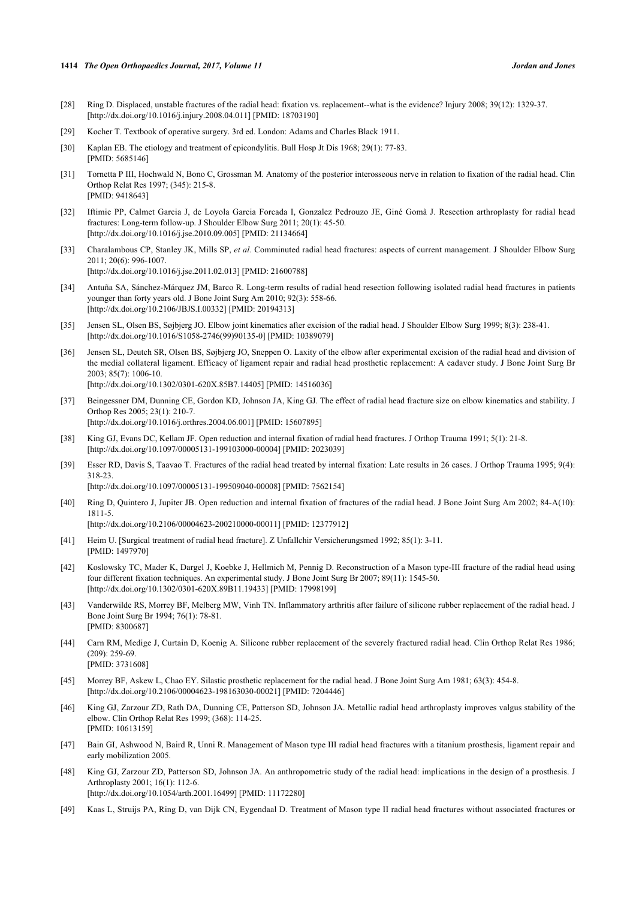- <span id="page-9-0"></span>[28] Ring D. Displaced, unstable fractures of the radial head: fixation vs. replacement--what is the evidence? Injury 2008; 39(12): 1329-37. [\[http://dx.doi.org/10.1016/j.injury.2008.04.011](http://dx.doi.org/10.1016/j.injury.2008.04.011)] [PMID: [18703190\]](http://www.ncbi.nlm.nih.gov/pubmed/18703190)
- <span id="page-9-1"></span>[29] Kocher T. Textbook of operative surgery. 3rd ed. London: Adams and Charles Black 1911.
- <span id="page-9-2"></span>[30] Kaplan EB. The etiology and treatment of epicondylitis. Bull Hosp Jt Dis 1968; 29(1): 77-83. [PMID: [5685146\]](http://www.ncbi.nlm.nih.gov/pubmed/5685146)
- <span id="page-9-3"></span>[31] Tornetta P III, Hochwald N, Bono C, Grossman M. Anatomy of the posterior interosseous nerve in relation to fixation of the radial head. Clin Orthop Relat Res 1997; (345): 215-8. [PMID: [9418643\]](http://www.ncbi.nlm.nih.gov/pubmed/9418643)
- <span id="page-9-4"></span>[32] Iftimie PP, Calmet Garcia J, de Loyola Garcia Forcada I, Gonzalez Pedrouzo JE, Giné Gomà J. Resection arthroplasty for radial head fractures: Long-term follow-up. J Shoulder Elbow Surg 2011; 20(1): 45-50. [\[http://dx.doi.org/10.1016/j.jse.2010.09.005\]](http://dx.doi.org/10.1016/j.jse.2010.09.005) [PMID: [21134664](http://www.ncbi.nlm.nih.gov/pubmed/21134664)]
- <span id="page-9-5"></span>[33] Charalambous CP, Stanley JK, Mills SP, *et al.* Comminuted radial head fractures: aspects of current management. J Shoulder Elbow Surg 2011; 20(6): 996-1007. [\[http://dx.doi.org/10.1016/j.jse.2011.02.013\]](http://dx.doi.org/10.1016/j.jse.2011.02.013) [PMID: [21600788](http://www.ncbi.nlm.nih.gov/pubmed/21600788)]
- <span id="page-9-6"></span>[34] Antuña SA, Sánchez-Márquez JM, Barco R. Long-term results of radial head resection following isolated radial head fractures in patients younger than forty years old. J Bone Joint Surg Am 2010; 92(3): 558-66. [\[http://dx.doi.org/10.2106/JBJS.I.00332](http://dx.doi.org/10.2106/JBJS.I.00332)] [PMID: [20194313](http://www.ncbi.nlm.nih.gov/pubmed/20194313)]
- <span id="page-9-7"></span>[35] Jensen SL, Olsen BS, Søjbjerg JO. Elbow joint kinematics after excision of the radial head. J Shoulder Elbow Surg 1999; 8(3): 238-41. [\[http://dx.doi.org/10.1016/S1058-2746\(99\)90135-0\]](http://dx.doi.org/10.1016/S1058-2746(99)90135-0) [PMID: [10389079](http://www.ncbi.nlm.nih.gov/pubmed/10389079)]
- <span id="page-9-8"></span>[36] Jensen SL, Deutch SR, Olsen BS, Søjbjerg JO, Sneppen O. Laxity of the elbow after experimental excision of the radial head and division of the medial collateral ligament. Efficacy of ligament repair and radial head prosthetic replacement: A cadaver study. J Bone Joint Surg Br 2003; 85(7): 1006-10. [\[http://dx.doi.org/10.1302/0301-620X.85B7.14405\]](http://dx.doi.org/10.1302/0301-620X.85B7.14405) [PMID: [14516036](http://www.ncbi.nlm.nih.gov/pubmed/14516036)]
- <span id="page-9-9"></span>[37] Beingessner DM, Dunning CE, Gordon KD, Johnson JA, King GJ. The effect of radial head fracture size on elbow kinematics and stability. J Orthop Res 2005; 23(1): 210-7. [\[http://dx.doi.org/10.1016/j.orthres.2004.06.001](http://dx.doi.org/10.1016/j.orthres.2004.06.001)] [PMID: [15607895\]](http://www.ncbi.nlm.nih.gov/pubmed/15607895)
- <span id="page-9-10"></span>[38] King GJ, Evans DC, Kellam JF. Open reduction and internal fixation of radial head fractures. J Orthop Trauma 1991; 5(1): 21-8. [\[http://dx.doi.org/10.1097/00005131-199103000-00004](http://dx.doi.org/10.1097/00005131-199103000-00004)] [PMID: [2023039\]](http://www.ncbi.nlm.nih.gov/pubmed/2023039)
- <span id="page-9-11"></span>[39] Esser RD, Davis S, Taavao T. Fractures of the radial head treated by internal fixation: Late results in 26 cases. J Orthop Trauma 1995; 9(4): 318-23.

[\[http://dx.doi.org/10.1097/00005131-199509040-00008](http://dx.doi.org/10.1097/00005131-199509040-00008)] [PMID: [7562154\]](http://www.ncbi.nlm.nih.gov/pubmed/7562154)

<span id="page-9-12"></span>[40] Ring D, Quintero J, Jupiter JB. Open reduction and internal fixation of fractures of the radial head. J Bone Joint Surg Am 2002; 84-A(10): 1811-5.

[\[http://dx.doi.org/10.2106/00004623-200210000-00011](http://dx.doi.org/10.2106/00004623-200210000-00011)] [PMID: [12377912\]](http://www.ncbi.nlm.nih.gov/pubmed/12377912)

- <span id="page-9-13"></span>[41] Heim U. [Surgical treatment of radial head fracture]. Z Unfallchir Versicherungsmed 1992; 85(1): 3-11. [PMID: [1497970\]](http://www.ncbi.nlm.nih.gov/pubmed/1497970)
- <span id="page-9-14"></span>[42] Koslowsky TC, Mader K, Dargel J, Koebke J, Hellmich M, Pennig D. Reconstruction of a Mason type-III fracture of the radial head using four different fixation techniques. An experimental study. J Bone Joint Surg Br 2007; 89(11): 1545-50. [\[http://dx.doi.org/10.1302/0301-620X.89B11.19433\]](http://dx.doi.org/10.1302/0301-620X.89B11.19433) [PMID: [17998199](http://www.ncbi.nlm.nih.gov/pubmed/17998199)]
- <span id="page-9-15"></span>[43] Vanderwilde RS, Morrey BF, Melberg MW, Vinh TN. Inflammatory arthritis after failure of silicone rubber replacement of the radial head. J Bone Joint Surg Br 1994; 76(1): 78-81. [PMID: [8300687\]](http://www.ncbi.nlm.nih.gov/pubmed/8300687)
- <span id="page-9-16"></span>[44] Carn RM, Medige J, Curtain D, Koenig A. Silicone rubber replacement of the severely fractured radial head. Clin Orthop Relat Res 1986; (209): 259-69. [PMID: [3731608\]](http://www.ncbi.nlm.nih.gov/pubmed/3731608)
- [45] Morrey BF, Askew L, Chao EY. Silastic prosthetic replacement for the radial head. J Bone Joint Surg Am 1981; 63(3): 454-8. [\[http://dx.doi.org/10.2106/00004623-198163030-00021](http://dx.doi.org/10.2106/00004623-198163030-00021)] [PMID: [7204446\]](http://www.ncbi.nlm.nih.gov/pubmed/7204446)
- <span id="page-9-17"></span>[46] King GJ, Zarzour ZD, Rath DA, Dunning CE, Patterson SD, Johnson JA. Metallic radial head arthroplasty improves valgus stability of the elbow. Clin Orthop Relat Res 1999; (368): 114-25. [PMID: [10613159\]](http://www.ncbi.nlm.nih.gov/pubmed/10613159)
- <span id="page-9-18"></span>[47] Bain GI, Ashwood N, Baird R, Unni R. Management of Mason type III radial head fractures with a titanium prosthesis, ligament repair and early mobilization 2005.
- <span id="page-9-19"></span>[48] King GJ, Zarzour ZD, Patterson SD, Johnson JA. An anthropometric study of the radial head: implications in the design of a prosthesis. J Arthroplasty 2001; 16(1): 112-6. [\[http://dx.doi.org/10.1054/arth.2001.16499](http://dx.doi.org/10.1054/arth.2001.16499)] [PMID: [11172280\]](http://www.ncbi.nlm.nih.gov/pubmed/11172280)
- <span id="page-9-20"></span>[49] Kaas L, Struijs PA, Ring D, van Dijk CN, Eygendaal D. Treatment of Mason type II radial head fractures without associated fractures or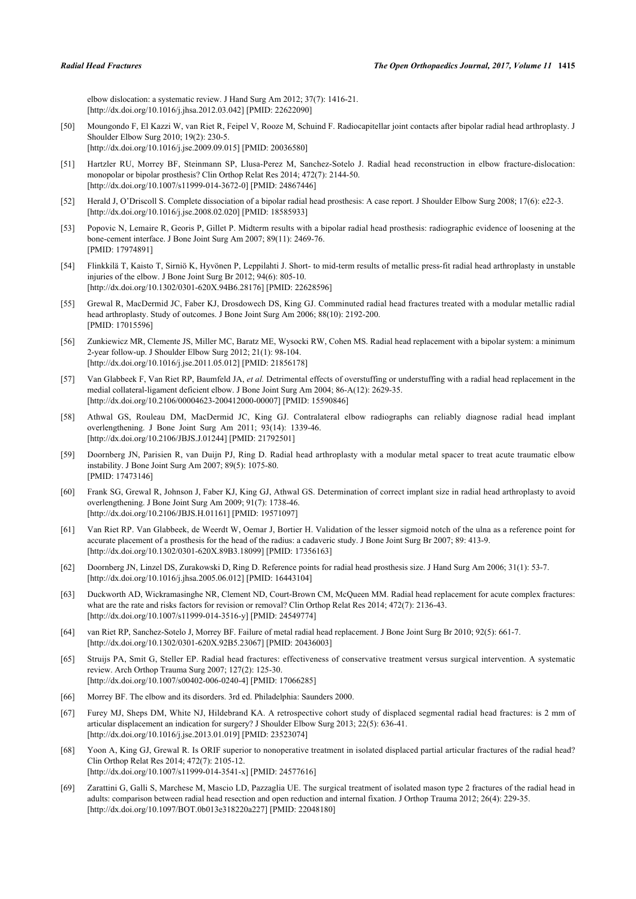elbow dislocation: a systematic review. J Hand Surg Am 2012; 37(7): 1416-21. [\[http://dx.doi.org/10.1016/j.jhsa.2012.03.042\]](http://dx.doi.org/10.1016/j.jhsa.2012.03.042) [PMID: [22622090](http://www.ncbi.nlm.nih.gov/pubmed/22622090)]

- <span id="page-10-0"></span>[50] Moungondo F, El Kazzi W, van Riet R, Feipel V, Rooze M, Schuind F. Radiocapitellar joint contacts after bipolar radial head arthroplasty. J Shoulder Elbow Surg 2010; 19(2): 230-5. [\[http://dx.doi.org/10.1016/j.jse.2009.09.015\]](http://dx.doi.org/10.1016/j.jse.2009.09.015) [PMID: [20036580](http://www.ncbi.nlm.nih.gov/pubmed/20036580)]
- <span id="page-10-1"></span>[51] Hartzler RU, Morrey BF, Steinmann SP, Llusa-Perez M, Sanchez-Sotelo J. Radial head reconstruction in elbow fracture-dislocation: monopolar or bipolar prosthesis? Clin Orthop Relat Res 2014; 472(7): 2144-50. [\[http://dx.doi.org/10.1007/s11999-014-3672-0\]](http://dx.doi.org/10.1007/s11999-014-3672-0) [PMID: [24867446](http://www.ncbi.nlm.nih.gov/pubmed/24867446)]
- <span id="page-10-2"></span>[52] Herald J, O'Driscoll S. Complete dissociation of a bipolar radial head prosthesis: A case report. J Shoulder Elbow Surg 2008; 17(6): e22-3. [\[http://dx.doi.org/10.1016/j.jse.2008.02.020\]](http://dx.doi.org/10.1016/j.jse.2008.02.020) [PMID: [18585933](http://www.ncbi.nlm.nih.gov/pubmed/18585933)]
- <span id="page-10-3"></span>[53] Popovic N, Lemaire R, Georis P, Gillet P. Midterm results with a bipolar radial head prosthesis: radiographic evidence of loosening at the bone-cement interface. J Bone Joint Surg Am 2007; 89(11): 2469-76. [PMID: [17974891\]](http://www.ncbi.nlm.nih.gov/pubmed/17974891)
- <span id="page-10-4"></span>[54] Flinkkilä T, Kaisto T, Sirniö K, Hyvönen P, Leppilahti J. Short- to mid-term results of metallic press-fit radial head arthroplasty in unstable injuries of the elbow. J Bone Joint Surg Br 2012; 94(6): 805-10. [\[http://dx.doi.org/10.1302/0301-620X.94B6.28176\]](http://dx.doi.org/10.1302/0301-620X.94B6.28176) [PMID: [22628596](http://www.ncbi.nlm.nih.gov/pubmed/22628596)]
- <span id="page-10-5"></span>[55] Grewal R, MacDermid JC, Faber KJ, Drosdowech DS, King GJ. Comminuted radial head fractures treated with a modular metallic radial head arthroplasty. Study of outcomes. J Bone Joint Surg Am 2006; 88(10): 2192-200. [PMID: [17015596\]](http://www.ncbi.nlm.nih.gov/pubmed/17015596)
- <span id="page-10-6"></span>[56] Zunkiewicz MR, Clemente JS, Miller MC, Baratz ME, Wysocki RW, Cohen MS. Radial head replacement with a bipolar system: a minimum 2-year follow-up. J Shoulder Elbow Surg 2012; 21(1): 98-104. [\[http://dx.doi.org/10.1016/j.jse.2011.05.012\]](http://dx.doi.org/10.1016/j.jse.2011.05.012) [PMID: [21856178](http://www.ncbi.nlm.nih.gov/pubmed/21856178)]
- <span id="page-10-7"></span>[57] Van Glabbeek F, Van Riet RP, Baumfeld JA, *et al.* Detrimental effects of overstuffing or understuffing with a radial head replacement in the medial collateral-ligament deficient elbow. J Bone Joint Surg Am 2004; 86-A(12): 2629-35. [\[http://dx.doi.org/10.2106/00004623-200412000-00007](http://dx.doi.org/10.2106/00004623-200412000-00007)] [PMID: [15590846\]](http://www.ncbi.nlm.nih.gov/pubmed/15590846)
- [58] Athwal GS, Rouleau DM, MacDermid JC, King GJ. Contralateral elbow radiographs can reliably diagnose radial head implant overlengthening. J Bone Joint Surg Am 2011; 93(14): 1339-46. [\[http://dx.doi.org/10.2106/JBJS.J.01244\]](http://dx.doi.org/10.2106/JBJS.J.01244) [PMID: [21792501](http://www.ncbi.nlm.nih.gov/pubmed/21792501)]
- <span id="page-10-11"></span>[59] Doornberg JN, Parisien R, van Duijn PJ, Ring D. Radial head arthroplasty with a modular metal spacer to treat acute traumatic elbow instability. J Bone Joint Surg Am 2007; 89(5): 1075-80. [PMID: [17473146\]](http://www.ncbi.nlm.nih.gov/pubmed/17473146)
- <span id="page-10-8"></span>[60] Frank SG, Grewal R, Johnson J, Faber KJ, King GJ, Athwal GS. Determination of correct implant size in radial head arthroplasty to avoid overlengthening. J Bone Joint Surg Am 2009; 91(7): 1738-46. [\[http://dx.doi.org/10.2106/JBJS.H.01161\]](http://dx.doi.org/10.2106/JBJS.H.01161) [PMID: [19571097](http://www.ncbi.nlm.nih.gov/pubmed/19571097)]
- <span id="page-10-9"></span>[61] Van Riet RP. Van Glabbeek, de Weerdt W, Oemar J, Bortier H. Validation of the lesser sigmoid notch of the ulna as a reference point for accurate placement of a prosthesis for the head of the radius: a cadaveric study. J Bone Joint Surg Br 2007; 89: 413-9. [\[http://dx.doi.org/10.1302/0301-620X.89B3.18099\]](http://dx.doi.org/10.1302/0301-620X.89B3.18099) [PMID: [17356163](http://www.ncbi.nlm.nih.gov/pubmed/17356163)]
- <span id="page-10-10"></span>[62] Doornberg JN, Linzel DS, Zurakowski D, Ring D. Reference points for radial head prosthesis size. J Hand Surg Am 2006; 31(1): 53-7. [\[http://dx.doi.org/10.1016/j.jhsa.2005.06.012\]](http://dx.doi.org/10.1016/j.jhsa.2005.06.012) [PMID: [16443104](http://www.ncbi.nlm.nih.gov/pubmed/16443104)]
- <span id="page-10-12"></span>[63] Duckworth AD, Wickramasinghe NR, Clement ND, Court-Brown CM, McQueen MM. Radial head replacement for acute complex fractures: what are the rate and risks factors for revision or removal? Clin Orthop Relat Res 2014; 472(7): 2136-43. [\[http://dx.doi.org/10.1007/s11999-014-3516-y\]](http://dx.doi.org/10.1007/s11999-014-3516-y) [PMID: [24549774](http://www.ncbi.nlm.nih.gov/pubmed/24549774)]
- <span id="page-10-13"></span>[64] van Riet RP, Sanchez-Sotelo J, Morrey BF. Failure of metal radial head replacement. J Bone Joint Surg Br 2010; 92(5): 661-7. [\[http://dx.doi.org/10.1302/0301-620X.92B5.23067\]](http://dx.doi.org/10.1302/0301-620X.92B5.23067) [PMID: [20436003](http://www.ncbi.nlm.nih.gov/pubmed/20436003)]
- <span id="page-10-14"></span>[65] Struijs PA, Smit G, Steller EP. Radial head fractures: effectiveness of conservative treatment versus surgical intervention. A systematic review. Arch Orthop Trauma Surg 2007; 127(2): 125-30. [\[http://dx.doi.org/10.1007/s00402-006-0240-4\]](http://dx.doi.org/10.1007/s00402-006-0240-4) [PMID: [17066285](http://www.ncbi.nlm.nih.gov/pubmed/17066285)]
- <span id="page-10-15"></span>[66] Morrey BF. The elbow and its disorders. 3rd ed. Philadelphia: Saunders 2000.
- <span id="page-10-16"></span>[67] Furey MJ, Sheps DM, White NJ, Hildebrand KA. A retrospective cohort study of displaced segmental radial head fractures: is 2 mm of articular displacement an indication for surgery? J Shoulder Elbow Surg 2013; 22(5): 636-41. [\[http://dx.doi.org/10.1016/j.jse.2013.01.019\]](http://dx.doi.org/10.1016/j.jse.2013.01.019) [PMID: [23523074](http://www.ncbi.nlm.nih.gov/pubmed/23523074)]
- <span id="page-10-17"></span>[68] Yoon A, King GJ, Grewal R. Is ORIF superior to nonoperative treatment in isolated displaced partial articular fractures of the radial head? Clin Orthop Relat Res 2014; 472(7): 2105-12. [\[http://dx.doi.org/10.1007/s11999-014-3541-x\]](http://dx.doi.org/10.1007/s11999-014-3541-x) [PMID: [24577616](http://www.ncbi.nlm.nih.gov/pubmed/24577616)]
- <span id="page-10-18"></span>[69] Zarattini G, Galli S, Marchese M, Mascio LD, Pazzaglia UE. The surgical treatment of isolated mason type 2 fractures of the radial head in adults: comparison between radial head resection and open reduction and internal fixation. J Orthop Trauma 2012; 26(4): 229-35. [\[http://dx.doi.org/10.1097/BOT.0b013e318220a227\]](http://dx.doi.org/10.1097/BOT.0b013e318220a227) [PMID: [22048180](http://www.ncbi.nlm.nih.gov/pubmed/22048180)]